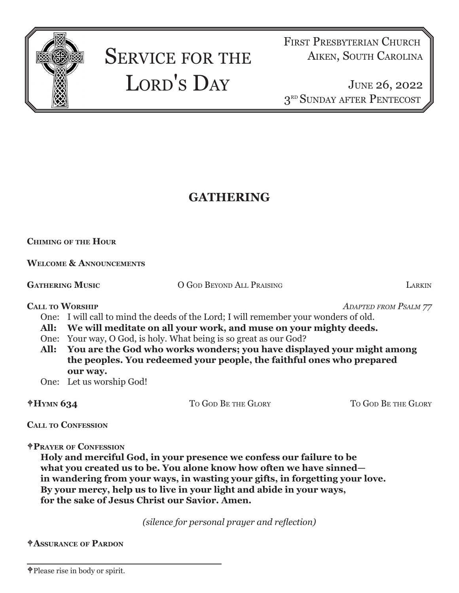

# SERVICE FOR THE LORD'S DAY

FIRST PRESBYTERIAN CHURCH Aiken, South Carolina

June 26, 2022 3RD SUNDAY AFTER PENTECOST

## **GATHERING**

### **Chiming of the Hour**

**Welcome & Announcements**

**GATHERING MUSIC COOD BEYOND ALL PRAISING LARKIN** 

**Call to Worship** *Adapted from Psalm 77* 

One: I will call to mind the deeds of the Lord; I will remember your wonders of old.

- **All: We will meditate on all your work, and muse on your mighty deeds.**
- One: Your way, O God, is holy. What being is so great as our God?
- **All: You are the God who works wonders; you have displayed your might among the peoples. You redeemed your people, the faithful ones who prepared our way.**
- One: Let us worship God!

| $*H$ YMN 634 | TO GOD BE THE GLORY | To God Be the Glory |
|--------------|---------------------|---------------------|
|              |                     |                     |

**Call to Confession**

**Prayer of Confession**

**Holy and merciful God, in your presence we confess our failure to be what you created us to be. You alone know how often we have sinned in wandering from your ways, in wasting your gifts, in forgetting your love. By your mercy, help us to live in your light and abide in your ways, for the sake of Jesus Christ our Savior. Amen.** 

*(silence for personal prayer and reflection)*

**Assurance of Pardon**

Please rise in body or spirit.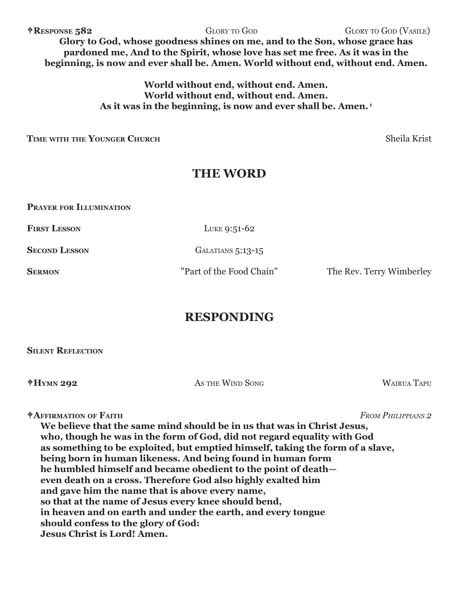**RESPONSE 582** GLORY TO GOD GLORY TO GOD GLORY TO GOD (VASILE) **Glory to God, whose goodness shines on me, and to the Son, whose grace has pardoned me, And to the Spirit, whose love has set me free. As it was in the beginning, is now and ever shall be. Amen. World without end, without end. Amen.**

> **World without end, without end. Amen. World without end, without end. Amen. As it was in the beginning, is now and ever shall be. Amen. 1**

**Time with the Younger Church** Sheila Krist

## **THE WORD**

**Prayer for Illumination**

**FIRST LESSON** LUKE 9:51-62

**SECOND LESSON** GALATIANS 5:13-15

**SERMON Part of the Food Chain"** The Rev. Terry Wimberley

## **RESPONDING**

**Silent Reflection**

**Hymn 292** As the Wind Song Wairua Tapu

**Affirmation of Faith** *From Philippians 2*

**We believe that the same mind should be in us that was in Christ Jesus, who, though he was in the form of God, did not regard equality with God as something to be exploited, but emptied himself, taking the form of a slave, being born in human likeness. And being found in human form he humbled himself and became obedient to the point of death even death on a cross. Therefore God also highly exalted him and gave him the name that is above every name, so that at the name of Jesus every knee should bend, in heaven and on earth and under the earth, and every tongue should confess to the glory of God: Jesus Christ is Lord! Amen.**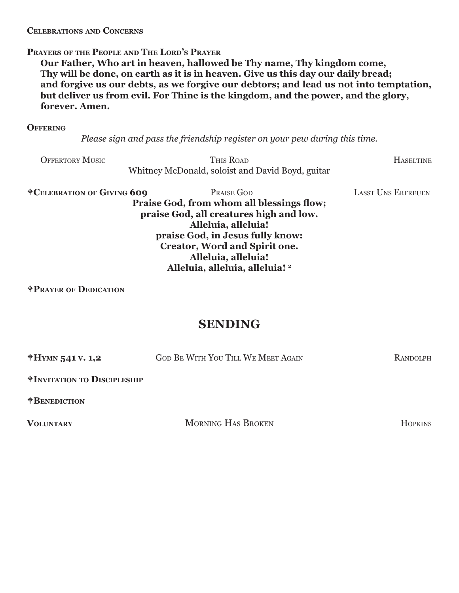#### **Celebrations and Concerns**

#### **Prayers of the People and The Lord's Prayer**

**Our Father, Who art in heaven, hallowed be Thy name, Thy kingdom come, Thy will be done, on earth as it is in heaven. Give us this day our daily bread; and forgive us our debts, as we forgive our debtors; and lead us not into temptation, but deliver us from evil. For Thine is the kingdom, and the power, and the glory, forever. Amen.**

#### **Offering**

*Please sign and pass the friendship register on your pew during this time.*

Offertory Music This Road Haseltine Whitney McDonald, soloist and David Boyd, guitar

**Celebration of Giving 609** Praise God Lasst Uns Erfreuen **Praise God, from whom all blessings flow; praise God, all creatures high and low. Alleluia, alleluia! praise God, in Jesus fully know: Creator, Word and Spirit one. Alleluia, alleluia! Alleluia, alleluia, alleluia! 2**

**Prayer of Dedication**

## **SENDING**

| $*H$ YMN 541 V. 1,2                              | <b>GOD BE WITH YOU TILL WE MEET AGAIN</b> | RANDOLPH       |  |
|--------------------------------------------------|-------------------------------------------|----------------|--|
| <b><i><u>†INVITATION TO DISCIPLESHIP</u></i></b> |                                           |                |  |
| <b><i><u>†BENEDICTION</u></i></b>                |                                           |                |  |
| <b>VOLUNTARY</b>                                 | <b>MORNING HAS BROKEN</b>                 | <b>HOPKINS</b> |  |
|                                                  |                                           |                |  |
|                                                  |                                           |                |  |